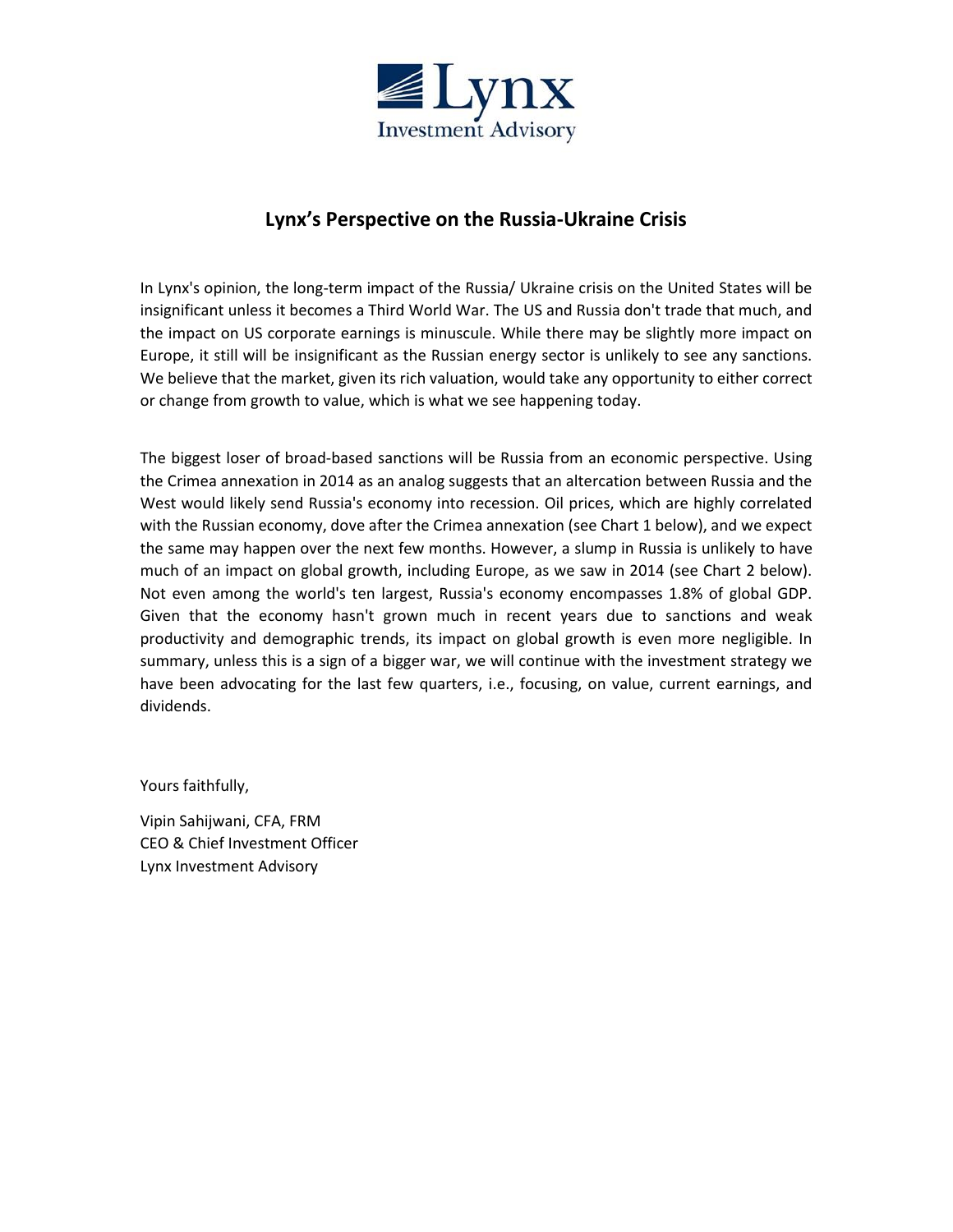

# **Lynx's Perspective on the Russia-Ukraine Crisis**

In Lynx's opinion, the long-term impact of the Russia/ Ukraine crisis on the United States will be insignificant unless it becomes a Third World War. The US and Russia don't trade that much, and the impact on US corporate earnings is minuscule. While there may be slightly more impact on Europe, it still will be insignificant as the Russian energy sector is unlikely to see any sanctions. We believe that the market, given its rich valuation, would take any opportunity to either correct or change from growth to value, which is what we see happening today.

The biggest loser of broad-based sanctions will be Russia from an economic perspective. Using the Crimea annexation in 2014 as an analog suggests that an altercation between Russia and the West would likely send Russia's economy into recession. Oil prices, which are highly correlated with the Russian economy, dove after the Crimea annexation (see Chart 1 below), and we expect the same may happen over the next few months. However, a slump in Russia is unlikely to have much of an impact on global growth, including Europe, as we saw in 2014 (see Chart 2 below). Not even among the world's ten largest, Russia's economy encompasses 1.8% of global GDP. Given that the economy hasn't grown much in recent years due to sanctions and weak productivity and demographic trends, its impact on global growth is even more negligible. In summary, unless this is a sign of a bigger war, we will continue with the investment strategy we have been advocating for the last few quarters, i.e., focusing, on value, current earnings, and dividends.

Yours faithfully,

Vipin Sahijwani, CFA, FRM CEO & Chief Investment Officer Lynx Investment Advisory